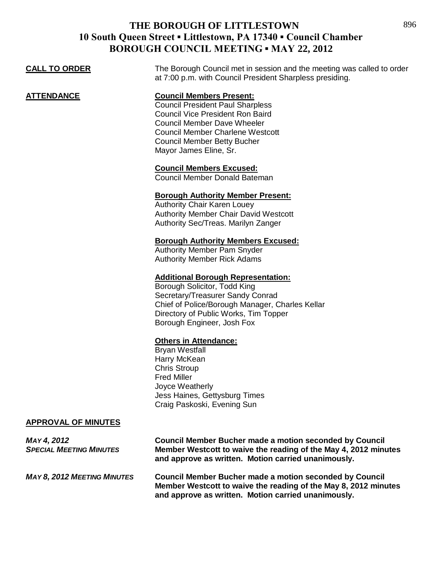| DUNUUGH COUNCIL MEETING " MAT 22, 2012               |                                                                                                                                                                                                                                                                        |  |
|------------------------------------------------------|------------------------------------------------------------------------------------------------------------------------------------------------------------------------------------------------------------------------------------------------------------------------|--|
| <b>CALL TO ORDER</b>                                 | The Borough Council met in session and the meeting was called to order<br>at 7:00 p.m. with Council President Sharpless presiding.                                                                                                                                     |  |
| <b>ATTENDANCE</b>                                    | <b>Council Members Present:</b><br><b>Council President Paul Sharpless</b><br><b>Council Vice President Ron Baird</b><br><b>Council Member Dave Wheeler</b><br><b>Council Member Charlene Westcott</b><br><b>Council Member Betty Bucher</b><br>Mayor James Eline, Sr. |  |
|                                                      | <b>Council Members Excused:</b><br>Council Member Donald Bateman                                                                                                                                                                                                       |  |
|                                                      | <b>Borough Authority Member Present:</b><br><b>Authority Chair Karen Louey</b><br><b>Authority Member Chair David Westcott</b><br>Authority Sec/Treas. Marilyn Zanger                                                                                                  |  |
|                                                      | <b>Borough Authority Members Excused:</b><br><b>Authority Member Pam Snyder</b><br><b>Authority Member Rick Adams</b>                                                                                                                                                  |  |
|                                                      | <b>Additional Borough Representation:</b><br>Borough Solicitor, Todd King<br>Secretary/Treasurer Sandy Conrad<br>Chief of Police/Borough Manager, Charles Kellar<br>Directory of Public Works, Tim Topper<br>Borough Engineer, Josh Fox                                |  |
|                                                      | <b>Others in Attendance:</b><br><b>Bryan Westfall</b><br>Harry McKean<br><b>Chris Stroup</b><br><b>Fred Miller</b><br>Joyce Weatherly<br>Jess Haines, Gettysburg Times<br>Craig Paskoski, Evening Sun                                                                  |  |
| <b>APPROVAL OF MINUTES</b>                           |                                                                                                                                                                                                                                                                        |  |
| <b>MAY 4, 2012</b><br><b>SPECIAL MEETING MINUTES</b> | <b>Council Member Bucher made a motion seconded by Council</b><br>Member Westcott to waive the reading of the May 4, 2012 minutes<br>and approve as written. Motion carried unanimously.                                                                               |  |

*MAY 8, 2012 MEETING MINUTES* **Council Member Bucher made a motion seconded by Council Member Westcott to waive the reading of the May 8, 2012 minutes and approve as written. Motion carried unanimously.**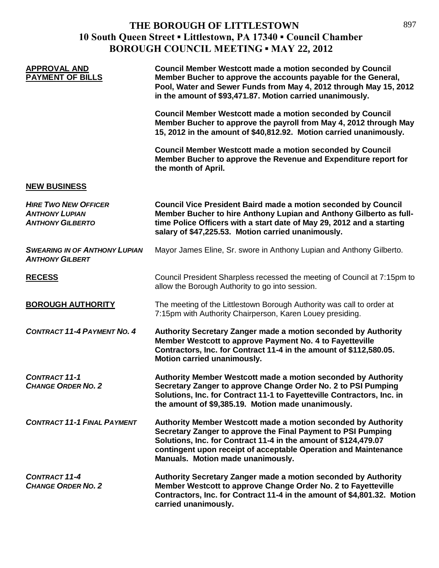| <b>APPROVAL AND</b><br><b>PAYMENT OF BILLS</b>                                  | <b>Council Member Westcott made a motion seconded by Council</b><br>Member Bucher to approve the accounts payable for the General,<br>Pool, Water and Sewer Funds from May 4, 2012 through May 15, 2012<br>in the amount of \$93,471.87. Motion carried unanimously.                                     |
|---------------------------------------------------------------------------------|----------------------------------------------------------------------------------------------------------------------------------------------------------------------------------------------------------------------------------------------------------------------------------------------------------|
|                                                                                 | <b>Council Member Westcott made a motion seconded by Council</b><br>Member Bucher to approve the payroll from May 4, 2012 through May<br>15, 2012 in the amount of \$40,812.92. Motion carried unanimously.                                                                                              |
|                                                                                 | <b>Council Member Westcott made a motion seconded by Council</b><br>Member Bucher to approve the Revenue and Expenditure report for<br>the month of April.                                                                                                                                               |
| <b>NEW BUSINESS</b>                                                             |                                                                                                                                                                                                                                                                                                          |
| <b>HIRE TWO NEW OFFICER</b><br><b>ANTHONY LUPIAN</b><br><b>ANTHONY GILBERTO</b> | <b>Council Vice President Baird made a motion seconded by Council</b><br>Member Bucher to hire Anthony Lupian and Anthony Gilberto as full-<br>time Police Officers with a start date of May 29, 2012 and a starting<br>salary of \$47,225.53. Motion carried unanimously.                               |
| <b>SWEARING IN OF ANTHONY LUPIAN</b><br><b>ANTHONY GILBERT</b>                  | Mayor James Eline, Sr. swore in Anthony Lupian and Anthony Gilberto.                                                                                                                                                                                                                                     |
| <b>RECESS</b>                                                                   | Council President Sharpless recessed the meeting of Council at 7:15pm to<br>allow the Borough Authority to go into session.                                                                                                                                                                              |
| <b>BOROUGH AUTHORITY</b>                                                        | The meeting of the Littlestown Borough Authority was call to order at<br>7:15pm with Authority Chairperson, Karen Louey presiding.                                                                                                                                                                       |
| <b>CONTRACT 11-4 PAYMENT NO. 4</b>                                              | Authority Secretary Zanger made a motion seconded by Authority<br>Member Westcott to approve Payment No. 4 to Fayetteville<br>Contractors, Inc. for Contract 11-4 in the amount of \$112,580.05.<br>Motion carried unanimously.                                                                          |
| <b>CONTRACT 11-1</b><br><b>CHANGE ORDER NO. 2</b>                               | Authority Member Westcott made a motion seconded by Authority<br>Secretary Zanger to approve Change Order No. 2 to PSI Pumping<br>Solutions, Inc. for Contract 11-1 to Fayetteville Contractors, Inc. in<br>the amount of \$9,385.19. Motion made unanimously.                                           |
| <b>CONTRACT 11-1 FINAL PAYMENT</b>                                              | Authority Member Westcott made a motion seconded by Authority<br>Secretary Zanger to approve the Final Payment to PSI Pumping<br>Solutions, Inc. for Contract 11-4 in the amount of \$124,479.07<br>contingent upon receipt of acceptable Operation and Maintenance<br>Manuals. Motion made unanimously. |
| <b>CONTRACT 11-4</b><br><b>CHANGE ORDER NO. 2</b>                               | Authority Secretary Zanger made a motion seconded by Authority<br>Member Westcott to approve Change Order No. 2 to Fayetteville<br>Contractors, Inc. for Contract 11-4 in the amount of \$4,801.32. Motion<br>carried unanimously.                                                                       |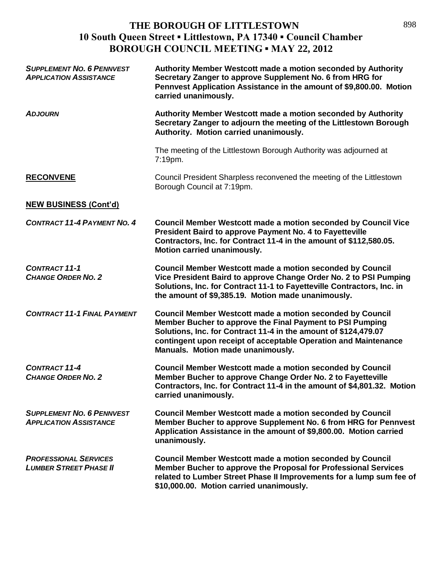| <b>SUPPLEMENT NO. 6 PENNVEST</b><br><b>APPLICATION ASSISTANCE</b> | Authority Member Westcott made a motion seconded by Authority<br>Secretary Zanger to approve Supplement No. 6 from HRG for<br>Pennvest Application Assistance in the amount of \$9,800.00. Motion<br>carried unanimously.                                                                                |
|-------------------------------------------------------------------|----------------------------------------------------------------------------------------------------------------------------------------------------------------------------------------------------------------------------------------------------------------------------------------------------------|
| <b>ADJOURN</b>                                                    | Authority Member Westcott made a motion seconded by Authority<br>Secretary Zanger to adjourn the meeting of the Littlestown Borough<br>Authority. Motion carried unanimously.                                                                                                                            |
|                                                                   | The meeting of the Littlestown Borough Authority was adjourned at<br>7:19pm.                                                                                                                                                                                                                             |
| <b>RECONVENE</b>                                                  | Council President Sharpless reconvened the meeting of the Littlestown<br>Borough Council at 7:19pm.                                                                                                                                                                                                      |
| <b>NEW BUSINESS (Cont'd)</b>                                      |                                                                                                                                                                                                                                                                                                          |
| <b>CONTRACT 11-4 PAYMENT NO. 4</b>                                | <b>Council Member Westcott made a motion seconded by Council Vice</b><br>President Baird to approve Payment No. 4 to Fayetteville<br>Contractors, Inc. for Contract 11-4 in the amount of \$112,580.05.<br>Motion carried unanimously.                                                                   |
| <b>CONTRACT 11-1</b><br><b>CHANGE ORDER NO. 2</b>                 | <b>Council Member Westcott made a motion seconded by Council</b><br>Vice President Baird to approve Change Order No. 2 to PSI Pumping<br>Solutions, Inc. for Contract 11-1 to Fayetteville Contractors, Inc. in<br>the amount of \$9,385.19. Motion made unanimously.                                    |
| <b>CONTRACT 11-1 FINAL PAYMENT</b>                                | <b>Council Member Westcott made a motion seconded by Council</b><br>Member Bucher to approve the Final Payment to PSI Pumping<br>Solutions, Inc. for Contract 11-4 in the amount of \$124,479.07<br>contingent upon receipt of acceptable Operation and Maintenance<br>Manuals. Motion made unanimously. |
| <b>CONTRACT 11-4</b><br><b>CHANGE ORDER NO. 2</b>                 | <b>Council Member Westcott made a motion seconded by Council</b><br>Member Bucher to approve Change Order No. 2 to Fayetteville<br>Contractors, Inc. for Contract 11-4 in the amount of \$4,801.32. Motion<br>carried unanimously.                                                                       |
| <b>SUPPLEMENT NO. 6 PENNVEST</b><br><b>APPLICATION ASSISTANCE</b> | <b>Council Member Westcott made a motion seconded by Council</b><br>Member Bucher to approve Supplement No. 6 from HRG for Pennvest<br>Application Assistance in the amount of \$9,800.00. Motion carried<br>unanimously.                                                                                |
| <b>PROFESSIONAL SERVICES</b><br><b>LUMBER STREET PHASE II</b>     | <b>Council Member Westcott made a motion seconded by Council</b><br>Member Bucher to approve the Proposal for Professional Services<br>related to Lumber Street Phase II Improvements for a lump sum fee of<br>\$10,000.00. Motion carried unanimously.                                                  |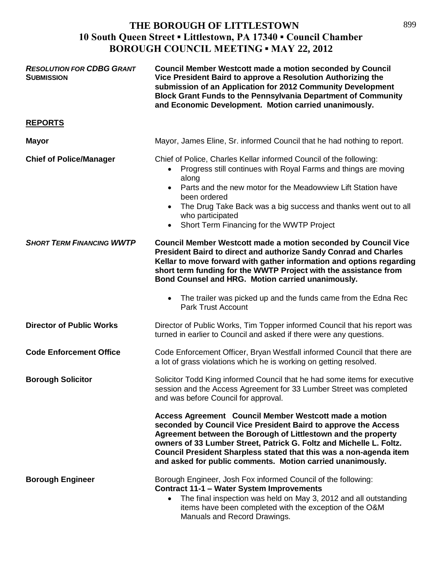| <b>RESOLUTION FOR CDBG GRANT</b><br><b>SUBMISSION</b> | <b>Council Member Westcott made a motion seconded by Council</b><br>Vice President Baird to approve a Resolution Authorizing the<br>submission of an Application for 2012 Community Development<br><b>Block Grant Funds to the Pennsylvania Department of Community</b><br>and Economic Development. Motion carried unanimously.                                                                     |
|-------------------------------------------------------|------------------------------------------------------------------------------------------------------------------------------------------------------------------------------------------------------------------------------------------------------------------------------------------------------------------------------------------------------------------------------------------------------|
| <b>REPORTS</b>                                        |                                                                                                                                                                                                                                                                                                                                                                                                      |
| <b>Mayor</b>                                          | Mayor, James Eline, Sr. informed Council that he had nothing to report.                                                                                                                                                                                                                                                                                                                              |
| <b>Chief of Police/Manager</b>                        | Chief of Police, Charles Kellar informed Council of the following:<br>Progress still continues with Royal Farms and things are moving<br>along<br>Parts and the new motor for the Meadowview Lift Station have<br>been ordered<br>The Drug Take Back was a big success and thanks went out to all<br>$\bullet$<br>who participated<br>Short Term Financing for the WWTP Project<br>$\bullet$         |
| <b>SHORT TERM FINANCING WWTP</b>                      | <b>Council Member Westcott made a motion seconded by Council Vice</b><br>President Baird to direct and authorize Sandy Conrad and Charles<br>Kellar to move forward with gather information and options regarding<br>short term funding for the WWTP Project with the assistance from<br>Bond Counsel and HRG. Motion carried unanimously.                                                           |
|                                                       | The trailer was picked up and the funds came from the Edna Rec<br>$\bullet$<br><b>Park Trust Account</b>                                                                                                                                                                                                                                                                                             |
| <b>Director of Public Works</b>                       | Director of Public Works, Tim Topper informed Council that his report was<br>turned in earlier to Council and asked if there were any questions.                                                                                                                                                                                                                                                     |
| <b>Code Enforcement Office</b>                        | Code Enforcement Officer, Bryan Westfall informed Council that there are<br>a lot of grass violations which he is working on getting resolved.                                                                                                                                                                                                                                                       |
| <b>Borough Solicitor</b>                              | Solicitor Todd King informed Council that he had some items for executive<br>session and the Access Agreement for 33 Lumber Street was completed<br>and was before Council for approval.                                                                                                                                                                                                             |
|                                                       | Access Agreement Council Member Westcott made a motion<br>seconded by Council Vice President Baird to approve the Access<br>Agreement between the Borough of Littlestown and the property<br>owners of 33 Lumber Street, Patrick G. Foltz and Michelle L. Foltz.<br>Council President Sharpless stated that this was a non-agenda item<br>and asked for public comments. Motion carried unanimously. |
| <b>Borough Engineer</b>                               | Borough Engineer, Josh Fox informed Council of the following:<br><b>Contract 11-1 - Water System Improvements</b><br>The final inspection was held on May 3, 2012 and all outstanding<br>items have been completed with the exception of the O&M<br>Manuals and Record Drawings.                                                                                                                     |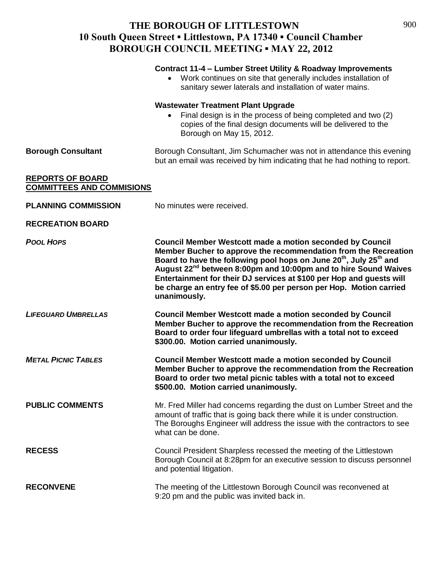|                                                             | Contract 11-4 - Lumber Street Utility & Roadway Improvements<br>Work continues on site that generally includes installation of<br>sanitary sewer laterals and installation of water mains.                                                                                                                                                                                                                                                                                      |
|-------------------------------------------------------------|---------------------------------------------------------------------------------------------------------------------------------------------------------------------------------------------------------------------------------------------------------------------------------------------------------------------------------------------------------------------------------------------------------------------------------------------------------------------------------|
|                                                             | <b>Wastewater Treatment Plant Upgrade</b><br>Final design is in the process of being completed and two (2)<br>copies of the final design documents will be delivered to the<br>Borough on May 15, 2012.                                                                                                                                                                                                                                                                         |
| <b>Borough Consultant</b>                                   | Borough Consultant, Jim Schumacher was not in attendance this evening<br>but an email was received by him indicating that he had nothing to report.                                                                                                                                                                                                                                                                                                                             |
| <b>REPORTS OF BOARD</b><br><b>COMMITTEES AND COMMISIONS</b> |                                                                                                                                                                                                                                                                                                                                                                                                                                                                                 |
| <b>PLANNING COMMISSION</b>                                  | No minutes were received.                                                                                                                                                                                                                                                                                                                                                                                                                                                       |
| <b>RECREATION BOARD</b>                                     |                                                                                                                                                                                                                                                                                                                                                                                                                                                                                 |
| <b>POOL HOPS</b>                                            | <b>Council Member Westcott made a motion seconded by Council</b><br>Member Bucher to approve the recommendation from the Recreation<br>Board to have the following pool hops on June 20 <sup>th</sup> , July 25 <sup>th</sup> and<br>August 22 <sup>nd</sup> between 8:00pm and 10:00pm and to hire Sound Waives<br>Entertainment for their DJ services at \$100 per Hop and guests will<br>be charge an entry fee of \$5.00 per person per Hop. Motion carried<br>unanimously. |
| <b>LIFEGUARD UMBRELLAS</b>                                  | <b>Council Member Westcott made a motion seconded by Council</b><br>Member Bucher to approve the recommendation from the Recreation<br>Board to order four lifeguard umbrellas with a total not to exceed<br>\$300.00. Motion carried unanimously.                                                                                                                                                                                                                              |
| <b>METAL PICNIC TABLES</b>                                  | <b>Council Member Westcott made a motion seconded by Council</b><br>Member Bucher to approve the recommendation from the Recreation<br>Board to order two metal picnic tables with a total not to exceed<br>\$500.00. Motion carried unanimously.                                                                                                                                                                                                                               |
| <b>PUBLIC COMMENTS</b>                                      | Mr. Fred Miller had concerns regarding the dust on Lumber Street and the<br>amount of traffic that is going back there while it is under construction.<br>The Boroughs Engineer will address the issue with the contractors to see<br>what can be done.                                                                                                                                                                                                                         |
| <b>RECESS</b>                                               | Council President Sharpless recessed the meeting of the Littlestown<br>Borough Council at 8:28pm for an executive session to discuss personnel<br>and potential litigation.                                                                                                                                                                                                                                                                                                     |
| <b>RECONVENE</b>                                            | The meeting of the Littlestown Borough Council was reconvened at<br>9:20 pm and the public was invited back in.                                                                                                                                                                                                                                                                                                                                                                 |